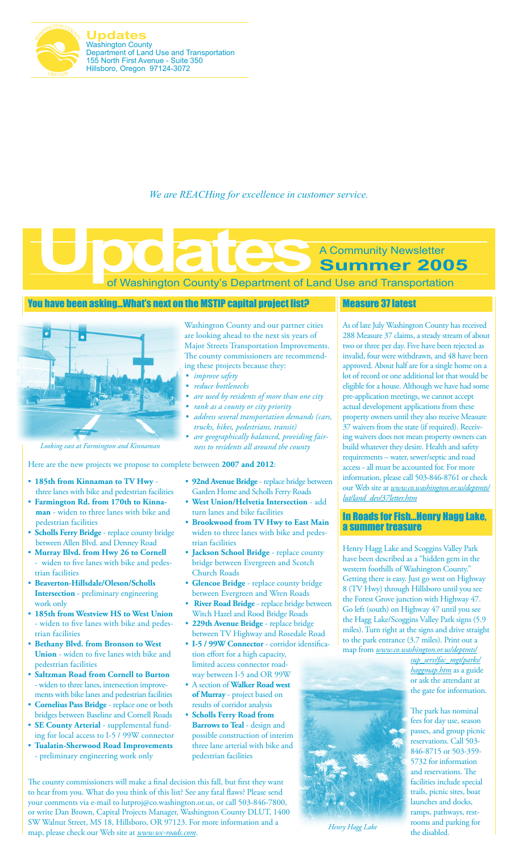

**Updates** Washington County Department of Land Use and Transportation 155 North First Avenue - Suite 350 Hillsboro, Oregon 97124-3072

*We are REACHing for excellence in customer service.*

of Washington County's Department of Land Use and Transportation **Summer 2005**

### You have been asking…What's next on the MSTIP capital project list?



Here are the new projects we propose to complete between **2007 and 2012**:

- • **185th from Kinnaman to TV Hwy**  three lanes with bike and pedestrian facilities
- • **Farmington Rd. from 170th to Kinnaman** - widen to three lanes with bike and pedestrian facilities
- • **Scholls Ferry Bridge** replace county bridge between Allen Blvd. and Denney Road
- • **Murray Blvd. from Hwy 26 to Cornell**  widen to five lanes with bike and pedestrian facilities
- • **Beaverton-Hillsdale/Oleson/Scholls Intersection** - preliminary engineering work only
- • **185th from Westview HS to West Union**  - widen to five lanes with bike and pedestrian facilities
- • **Bethany Blvd. from Bronson to West Union** - widen to five lanes with bike and pedestrian facilities
- • **Saltzman Road from Cornell to Burton**  - widen to three lanes, intersection improvements with bike lanes and pedestrian facilities
- • **Cornelius Pass Bridge** replace one or both bridges between Baseline and Cornell Roads
- • **SE County Arterial**  supplemental funding for local access to I-5 / 99W connector
- • **Tualatin-Sherwood Road Improvements**  - preliminary engineering work only

Washington County and our partner cities are looking ahead to the next six years of Major Streets Transportation Improvements. The county commissioners are recommending these projects because they:

- *• improve safety*
- *• reduce bottlenecks*
- *• are used by residents of more than one city*
- *• rank as a county or city priority*
- *• address several transportation demands (cars, trucks, bikes, pedestrians, transit)*
- *• are geographically balanced, providing fair-Looking east at Farmington and Kinnaman ness to residents all around the county*
	- • **92nd Avenue Bridge** replace bridge between Garden Home and Scholls Ferry Roads
	- • **West Union/Helvetia Intersection** add turn lanes and bike facilities
	- • **Brookwood from TV Hwy to East Main**  widen to three lanes with bike and pedestrian facilities
	- • **Jackson School Bridge** replace county bridge between Evergreen and Scotch Church Roads
	- • **Glencoe Bridge**  replace county bridge between Evergreen and Wren Roads
	- •  **River Road Bridge** replace bridge between Witch Hazel and Rood Bridge Roads
	- • **229th Avenue Bridge** replace bridge between TV Highway and Rosedale Road
	- **I-5 / 99W Connector**  corridor identification effort for a high capacity, limited access connector roadway between I-5 and OR 99W
	- • A section of **Walker Road west of Murray** - project based on results of corridor analysis
	- • **Scholls Ferry Road from Barrows to Teal** - design and possible construction of interim three lane arterial with bike and pedestrian facilities

The county commissioners will make a final decision this fall, but first they want to hear from you. What do you think of this list? See any fatal flaws? Please send your comments via e-mail to lutproj@co.washington.or.us, or call 503-846-7800, or write Dan Brown, Capital Projects Manager, Washington County DLUT, 1400 SW Walnut Street, MS 18, Hillsboro, OR 97123. For more information and a map, please check our Web site at *www.wc-roads.com*.

### Measure 37 latest

A Community Newsletter

As of late July Washington County has received 288 Measure 37 claims, a steady stream of about two or three per day. Five have been rejected as invalid, four were withdrawn, and 48 have been approved. About half are for a single home on a lot of record or one additional lot that would be eligible for a house. Although we have had some pre-application meetings, we cannot accept actual development applications from these property owners until they also receive Measure 37 waivers from the state (if required). Receiving waivers does not mean property owners can build whatever they desire. Health and safety requirements – water, sewer/septic and road access - all must be accounted for. For more information, please call 503-846-8761 or check our Web site at *www.co.washington.or.us/deptmts/ lut/land\_dev/37letter.htm*

### In Roads for Fish…Henry Hagg Lake, a summer treasure

Henry Hagg Lake and Scoggins Valley Park have been described as a "hidden gem in the western foothills of Washington County." Getting there is easy. Just go west on Highway 8 (TV Hwy) through Hillsboro until you see the Forest Grove junction with Highway 47. Go left (south) on Highway 47 until you see the Hagg Lake/Scoggins Valley Park signs (5.9 miles). Turn right at the signs and drive straight to the park entrance (3.7 miles). Print out a map from *www.co.washington.or.us/deptmts/*

*sup\_serv/fac\_mgt/parks/ haggmap.htm* as a guide or ask the attendant at the gate for information.

The park has nominal fees for day use, season passes, and group picnic reservations. Call 503- 846-8715 or 503-359- 5732 for information and reservations. The facilities include special trails, picnic sites, boat launches and docks, ramps, pathways, restrooms and parking for the disabled.



*Henry Hagg Lake*